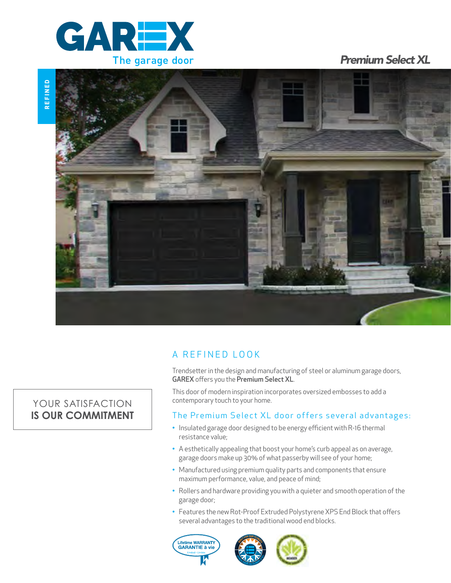

**REFINED**

REFINED

*Premium Select XL*



## A REFINED LOOK

Trendsetter in the design and manufacturing of steel or aluminum garage doors, GAREX offers you the Premium Select XL.

This door of modern inspiration incorporates oversized embosses to add a contemporary touch to your home.

## The Premium Select XL door offers several advantages:

- Insulated garage door designed to be energy efficient with R-16 thermal resistance value;
- A esthetically appealing that boost your home's curb appeal as on average, garage doors make up 30% of what passerby will see of your home;
- Manufactured using premium quality parts and components that ensure maximum performance, value, and peace of mind;
- Rollers and hardware providing you with a quieter and smooth operation of the garage door;
- Features the new Rot-Proof Extruded Polystyrene XPS End Block that offers several advantages to the traditional wood end blocks.





# YOUR SATISFACTION **IS OUR COMMITMENT**